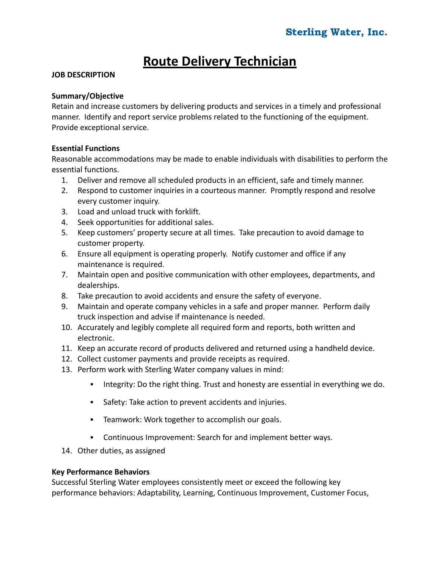# **Route Delivery Technician**

## **JOB DESCRIPTION**

## **Summary/Objective**

Retain and increase customers by delivering products and services in a timely and professional manner. Identify and report service problems related to the functioning of the equipment. Provide exceptional service.

## **Essential Functions**

Reasonable accommodations may be made to enable individuals with disabilities to perform the essential functions.

- 1. Deliver and remove all scheduled products in an efficient, safe and timely manner.
- 2. Respond to customer inquiries in a courteous manner. Promptly respond and resolve every customer inquiry.
- 3. Load and unload truck with forklift.
- 4. Seek opportunities for additional sales.
- 5. Keep customers' property secure at all times. Take precaution to avoid damage to customer property.
- 6. Ensure all equipment is operating properly. Notify customer and office if any maintenance is required.
- 7. Maintain open and positive communication with other employees, departments, and dealerships.
- 8. Take precaution to avoid accidents and ensure the safety of everyone.
- 9. Maintain and operate company vehicles in a safe and proper manner. Perform daily truck inspection and advise if maintenance is needed.
- 10. Accurately and legibly complete all required form and reports, both written and electronic.
- 11. Keep an accurate record of products delivered and returned using a handheld device.
- 12. Collect customer payments and provide receipts as required.
- 13. Perform work with Sterling Water company values in mind:
	- **•** Integrity: Do the right thing. Trust and honesty are essential in everything we do.
	- Safety: Take action to prevent accidents and injuries.
	- Teamwork: Work together to accomplish our goals.
	- Continuous Improvement: Search for and implement better ways.
- 14. Other duties, as assigned

## **Key Performance Behaviors**

Successful Sterling Water employees consistently meet or exceed the following key performance behaviors: Adaptability, Learning, Continuous Improvement, Customer Focus,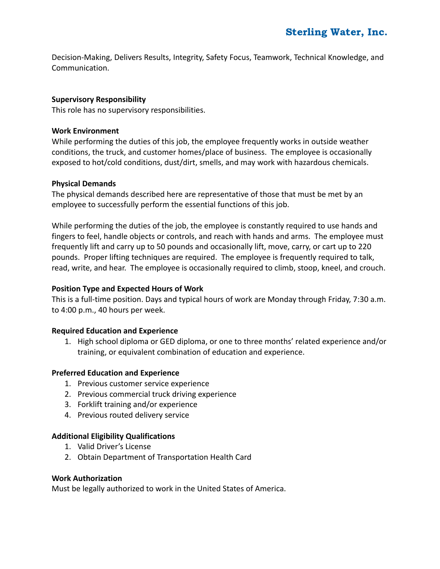Decision-Making, Delivers Results, Integrity, Safety Focus, Teamwork, Technical Knowledge, and Communication.

## **Supervisory Responsibility**

This role has no supervisory responsibilities.

#### **Work Environment**

While performing the duties of this job, the employee frequently works in outside weather conditions, the truck, and customer homes/place of business. The employee is occasionally exposed to hot/cold conditions, dust/dirt, smells, and may work with hazardous chemicals.

#### **Physical Demands**

The physical demands described here are representative of those that must be met by an employee to successfully perform the essential functions of this job.

While performing the duties of the job, the employee is constantly required to use hands and fingers to feel, handle objects or controls, and reach with hands and arms. The employee must frequently lift and carry up to 50 pounds and occasionally lift, move, carry, or cart up to 220 pounds. Proper lifting techniques are required. The employee is frequently required to talk, read, write, and hear. The employee is occasionally required to climb, stoop, kneel, and crouch.

## **Position Type and Expected Hours of Work**

This is a full-time position. Days and typical hours of work are Monday through Friday, 7:30 a.m. to 4:00 p.m., 40 hours per week.

#### **Required Education and Experience**

1. High school diploma or GED diploma, or one to three months' related experience and/or training, or equivalent combination of education and experience.

#### **Preferred Education and Experience**

- 1. Previous customer service experience
- 2. Previous commercial truck driving experience
- 3. Forklift training and/or experience
- 4. Previous routed delivery service

#### **Additional Eligibility Qualifications**

- 1. Valid Driver's License
- 2. Obtain Department of Transportation Health Card

#### **Work Authorization**

Must be legally authorized to work in the United States of America.